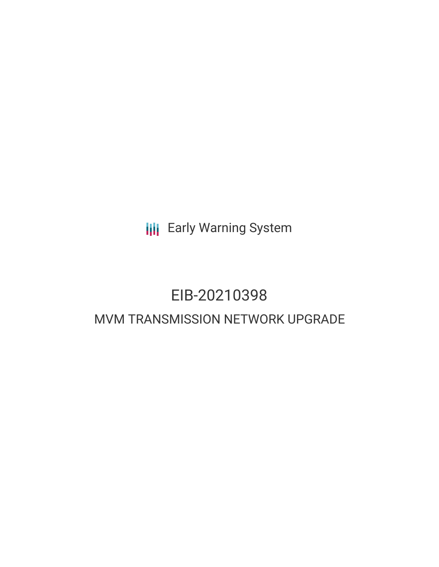**III** Early Warning System

# EIB-20210398 MVM TRANSMISSION NETWORK UPGRADE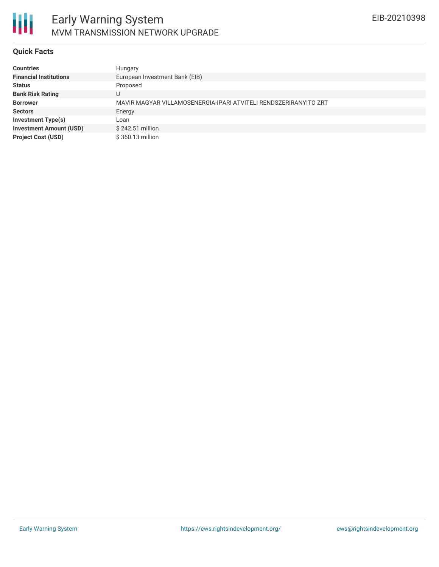

#### **Quick Facts**

朋

| <b>Countries</b>               | Hungary                                                          |
|--------------------------------|------------------------------------------------------------------|
| <b>Financial Institutions</b>  | European Investment Bank (EIB)                                   |
| <b>Status</b>                  | Proposed                                                         |
| <b>Bank Risk Rating</b>        | U                                                                |
| <b>Borrower</b>                | MAVIR MAGYAR VILLAMOSENERGIA-IPARI ATVITELI RENDSZERIRANYITO ZRT |
| <b>Sectors</b>                 | Energy                                                           |
| <b>Investment Type(s)</b>      | Loan                                                             |
| <b>Investment Amount (USD)</b> | \$242.51 million                                                 |
| <b>Project Cost (USD)</b>      | \$360.13 million                                                 |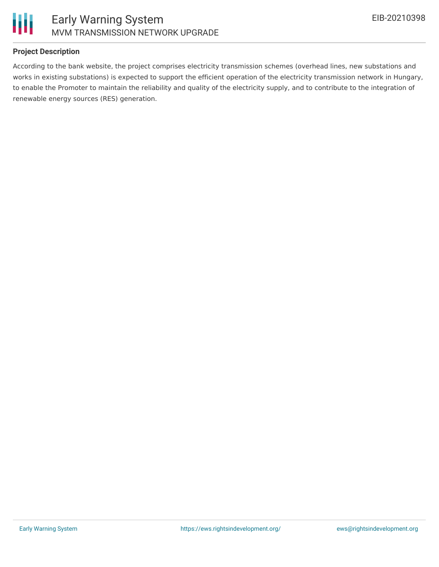

## **Project Description**

According to the bank website, the project comprises electricity transmission schemes (overhead lines, new substations and works in existing substations) is expected to support the efficient operation of the electricity transmission network in Hungary, to enable the Promoter to maintain the reliability and quality of the electricity supply, and to contribute to the integration of renewable energy sources (RES) generation.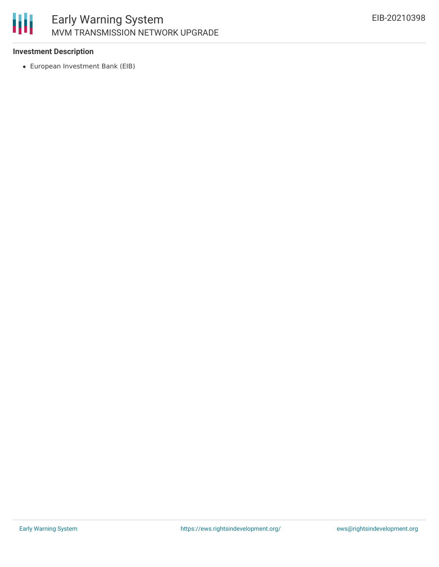

# Early Warning System MVM TRANSMISSION NETWORK UPGRADE

## **Investment Description**

European Investment Bank (EIB)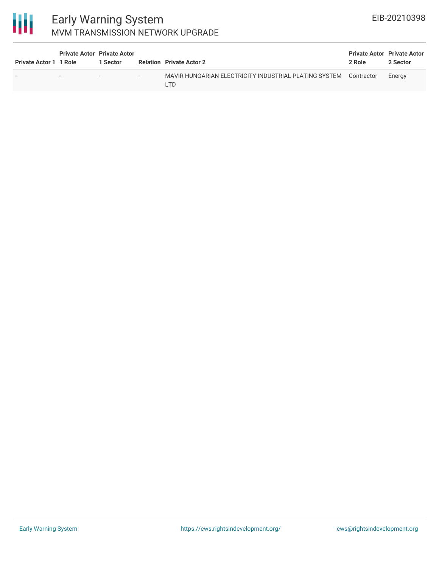

# Early Warning System MVM TRANSMISSION NETWORK UPGRADE

| <b>Private Actor 1 1 Role</b> | <b>Private Actor Private Actor</b> | 1 Sector                 |     | <b>Relation Private Actor 2</b>                                         | <b>Private Actor Private Actor</b><br>2 Role | 2 Sector |
|-------------------------------|------------------------------------|--------------------------|-----|-------------------------------------------------------------------------|----------------------------------------------|----------|
|                               | $\overline{\phantom{0}}$           | $\overline{\phantom{0}}$ | $-$ | MAVIR HUNGARIAN ELECTRICITY INDUSTRIAL PLATING SYSTEM Contractor<br>-TD |                                              | Energy   |